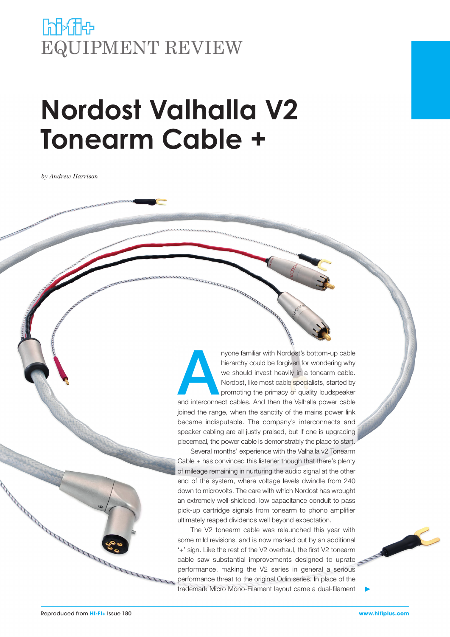# **himic** EQUIPMENT REVIEW

# **Nordost Valhalla V2 Tonearm Cable +**

*by Andrew Harrison*

myone familiar with Nordost's bottom-up cable<br>
hierarchy could be forgiven for wondering why<br>
we should invest heavily in a tonearm cable.<br>
Nordost, like most cable specialists, started by<br>
promoting the primacy of quality hierarchy could be forgiven for wondering why we should invest heavily in a tonearm cable. Nordost, like most cable specialists, started by promoting the primacy of quality loudspeaker

joined the range, when the sanctity of the mains power link became indisputable. The company's interconnects and speaker cabling are all justly praised, but if one is upgrading piecemeal, the power cable is demonstrably the place to start.

Several months' experience with the Valhalla v2 Tonearm Cable + has convinced this listener though that there's plenty of mileage remaining in nurturing the audio signal at the other end of the system, where voltage levels dwindle from 240 down to microvolts. The care with which Nordost has wrought an extremely well-shielded, low capacitance conduit to pass pick-up cartridge signals from tonearm to phono amplifier ultimately reaped dividends well beyond expectation.

The V2 tonearm cable was relaunched this year with some mild revisions, and is now marked out by an additional '+' sign. Like the rest of the V2 overhaul, the first V2 tonearm cable saw substantial improvements designed to uprate performance, making the V2 series in general a serious performance threat to the original Odin series. In place of the trademark Micro Mono-Filament layout came a dual-filament



Consultation of the Consultation of the Consultation of the Consultation of the Consultation of the Consultation of the Consultation of the Consultation of the Consultation of the Consultation of the Consultation of the Co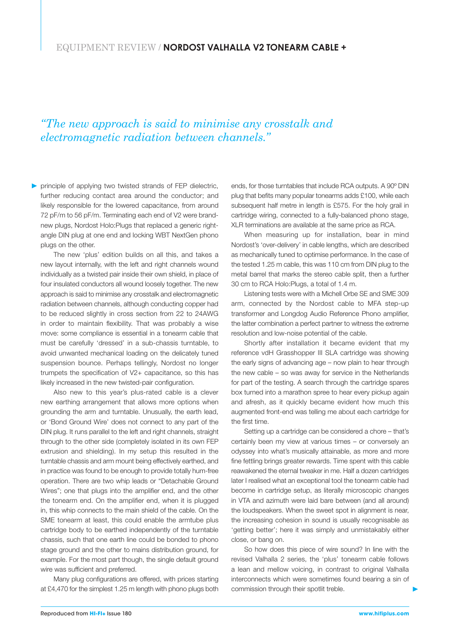### *"The new approach is said to minimise any crosstalk and electromagnetic radiation between channels."*

principle of applying two twisted strands of FEP dielectric, further reducing contact area around the conductor; and likely responsible for the lowered capacitance, from around 72 pF/m to 56 pF/m. Terminating each end of V2 were brandnew plugs, Nordost Holo:Plugs that replaced a generic rightangle DIN plug at one end and locking WBT NextGen phono plugs on the other.

The new 'plus' edition builds on all this, and takes a new layout internally, with the left and right channels wound individually as a twisted pair inside their own shield, in place of four insulated conductors all wound loosely together. The new approach is said to minimise any crosstalk and electromagnetic radiation between channels, although conducting copper had to be reduced slightly in cross section from 22 to 24AWG in order to maintain flexibility. That was probably a wise move: some compliance is essential in a tonearm cable that must be carefully 'dressed' in a sub-chassis turntable, to avoid unwanted mechanical loading on the delicately tuned suspension bounce. Perhaps tellingly, Nordost no longer trumpets the specification of V2+ capacitance, so this has likely increased in the new twisted-pair configuration.

Also new to this year's plus-rated cable is a clever new earthing arrangement that allows more options when grounding the arm and turntable. Unusually, the earth lead, or 'Bond Ground Wire' does not connect to any part of the DIN plug. It runs parallel to the left and right channels, straight through to the other side (completely isolated in its own FEP extrusion and shielding). In my setup this resulted in the turntable chassis and arm mount being effectively earthed, and in practice was found to be enough to provide totally hum-free operation. There are two whip leads or "Detachable Ground Wires"; one that plugs into the amplifier end, and the other the tonearm end. On the amplifier end, when it is plugged in, this whip connects to the main shield of the cable. On the SME tonearm at least, this could enable the armtube plus cartridge body to be earthed independently of the turntable chassis, such that one earth line could be bonded to phono stage ground and the other to mains distribution ground, for example. For the most part though, the single default ground wire was sufficient and preferred.

Many plug configurations are offered, with prices starting at £4,470 for the simplest 1.25 m length with phono plugs both

ends, for those turntables that include RCA outputs. A 90º DIN plug that befits many popular tonearms adds £100, while each subsequent half metre in length is £575. For the holy grail in cartridge wiring, connected to a fully-balanced phono stage, XLR terminations are available at the same price as RCA.

When measuring up for installation, bear in mind Nordost's 'over-delivery' in cable lengths, which are described as mechanically tuned to optimise performance. In the case of the tested 1.25 m cable, this was 110 cm from DIN plug to the metal barrel that marks the stereo cable split, then a further 30 cm to RCA Holo:Plugs, a total of 1.4 m.

Listening tests were with a Michell Orbe SE and SME 309 arm, connected by the Nordost cable to MFA step-up transformer and Longdog Audio Reference Phono amplifier, the latter combination a perfect partner to witness the extreme resolution and low-noise potential of the cable.

Shortly after installation it became evident that my reference vdH Grasshopper III SLA cartridge was showing the early signs of advancing age – now plain to hear through the new cable – so was away for service in the Netherlands for part of the testing. A search through the cartridge spares box turned into a marathon spree to hear every pickup again and afresh, as it quickly became evident how much this augmented front-end was telling me about each cartridge for the first time.

Setting up a cartridge can be considered a chore – that's certainly been my view at various times – or conversely an odyssey into what's musically attainable, as more and more fine fettling brings greater rewards. Time spent with this cable reawakened the eternal tweaker in me. Half a dozen cartridges later I realised what an exceptional tool the tonearm cable had become in cartridge setup, as literally microscopic changes in VTA and azimuth were laid bare between (and all around) the loudspeakers. When the sweet spot in alignment is near, the increasing cohesion in sound is usually recognisable as 'getting better'; here it was simply and unmistakably either close, or bang on.

So how does this piece of wire sound? In line with the revised Valhalla 2 series, the 'plus' tonearm cable follows a lean and mellow voicing, in contrast to original Valhalla interconnects which were sometimes found bearing a sin of commission through their spotlit treble.